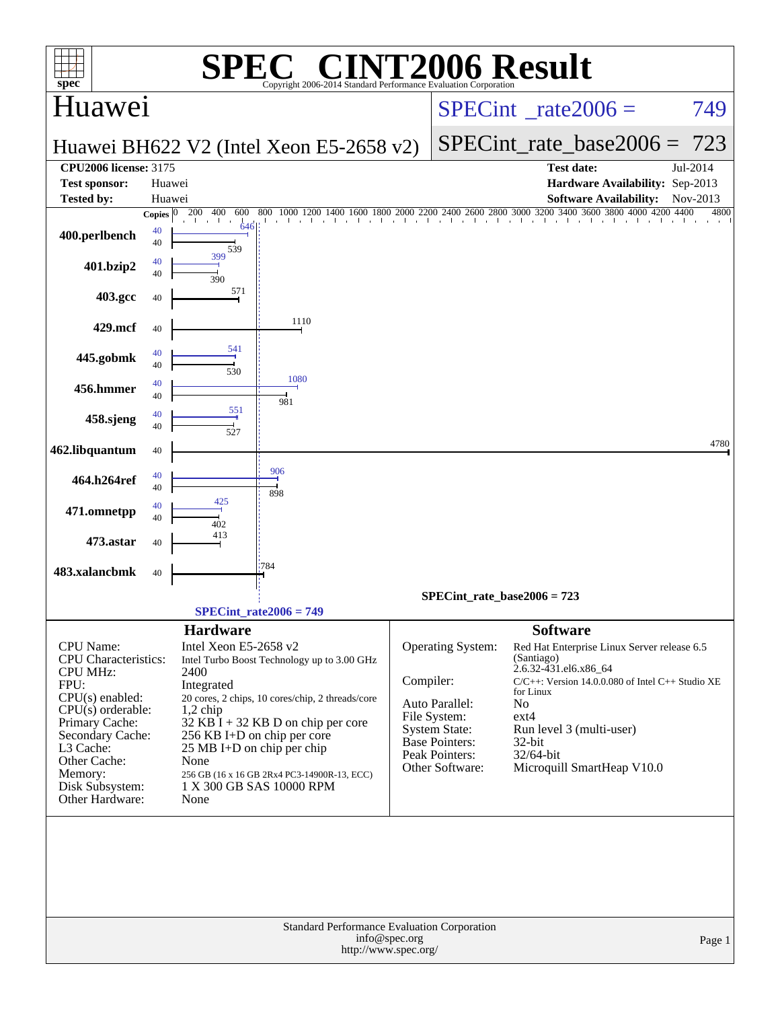| spec®                                                                                                                                                                                                                                      |                          | $\bigcap$ $\bigcap$                                                                                                                                                                                                                                                                                                                                                             |           | Standard Performance Evaluation Corporation                                                                                                      | <b>INT2006 Result</b>                                                                                                                                                                                                                                                                 |
|--------------------------------------------------------------------------------------------------------------------------------------------------------------------------------------------------------------------------------------------|--------------------------|---------------------------------------------------------------------------------------------------------------------------------------------------------------------------------------------------------------------------------------------------------------------------------------------------------------------------------------------------------------------------------|-----------|--------------------------------------------------------------------------------------------------------------------------------------------------|---------------------------------------------------------------------------------------------------------------------------------------------------------------------------------------------------------------------------------------------------------------------------------------|
| Huawei                                                                                                                                                                                                                                     |                          |                                                                                                                                                                                                                                                                                                                                                                                 |           |                                                                                                                                                  | $SPECint^{\circ}$ rate $2006 =$<br>749                                                                                                                                                                                                                                                |
|                                                                                                                                                                                                                                            |                          | Huawei BH622 V2 (Intel Xeon E5-2658 v2)                                                                                                                                                                                                                                                                                                                                         |           |                                                                                                                                                  | $SPECint_rate_base2006 =$<br>723                                                                                                                                                                                                                                                      |
| <b>CPU2006 license: 3175</b><br><b>Test sponsor:</b>                                                                                                                                                                                       | Huawei                   |                                                                                                                                                                                                                                                                                                                                                                                 |           |                                                                                                                                                  | <b>Test date:</b><br>Jul-2014<br>Hardware Availability: Sep-2013                                                                                                                                                                                                                      |
| <b>Tested by:</b>                                                                                                                                                                                                                          | Huawei                   |                                                                                                                                                                                                                                                                                                                                                                                 |           |                                                                                                                                                  | <b>Software Availability:</b><br>Nov-2013                                                                                                                                                                                                                                             |
| 400.perlbench                                                                                                                                                                                                                              | Copies $ 0 $<br>40<br>40 | 200<br>400<br>800<br>1000 1200 1400<br>600<br>646<br>539                                                                                                                                                                                                                                                                                                                        |           |                                                                                                                                                  | 1600 1800 2000 2200 2400 2600 2800 3000 3200 3400 3600 3800 4000 4200 4400<br>4800<br>the contract that the contract and a structure that the                                                                                                                                         |
| 401.bzip2                                                                                                                                                                                                                                  | 40<br>40                 | 399<br>390                                                                                                                                                                                                                                                                                                                                                                      |           |                                                                                                                                                  |                                                                                                                                                                                                                                                                                       |
| 403.gcc                                                                                                                                                                                                                                    | 40                       | 571                                                                                                                                                                                                                                                                                                                                                                             |           |                                                                                                                                                  |                                                                                                                                                                                                                                                                                       |
| 429.mcf                                                                                                                                                                                                                                    | 40                       | 1110                                                                                                                                                                                                                                                                                                                                                                            |           |                                                                                                                                                  |                                                                                                                                                                                                                                                                                       |
| 445.gobmk                                                                                                                                                                                                                                  | 40<br>40                 | 541<br>530<br>1080                                                                                                                                                                                                                                                                                                                                                              |           |                                                                                                                                                  |                                                                                                                                                                                                                                                                                       |
| 456.hmmer                                                                                                                                                                                                                                  | 40<br>40                 | 981                                                                                                                                                                                                                                                                                                                                                                             |           |                                                                                                                                                  |                                                                                                                                                                                                                                                                                       |
| 458.sjeng                                                                                                                                                                                                                                  | 40<br>40                 | 551<br>527                                                                                                                                                                                                                                                                                                                                                                      |           |                                                                                                                                                  |                                                                                                                                                                                                                                                                                       |
| 462.libquantum                                                                                                                                                                                                                             | 40                       |                                                                                                                                                                                                                                                                                                                                                                                 |           |                                                                                                                                                  | 4780                                                                                                                                                                                                                                                                                  |
| 464.h264ref                                                                                                                                                                                                                                | 40<br>40                 | 906<br>898                                                                                                                                                                                                                                                                                                                                                                      |           |                                                                                                                                                  |                                                                                                                                                                                                                                                                                       |
| 471.omnetpp                                                                                                                                                                                                                                | 40<br>40                 | 425<br>402                                                                                                                                                                                                                                                                                                                                                                      |           |                                                                                                                                                  |                                                                                                                                                                                                                                                                                       |
| 473.astar                                                                                                                                                                                                                                  | 40                       | 413                                                                                                                                                                                                                                                                                                                                                                             |           |                                                                                                                                                  |                                                                                                                                                                                                                                                                                       |
| 483.xalancbmk                                                                                                                                                                                                                              | 40                       | 784                                                                                                                                                                                                                                                                                                                                                                             |           |                                                                                                                                                  |                                                                                                                                                                                                                                                                                       |
|                                                                                                                                                                                                                                            |                          | $SPECint_rate2006 = 749$                                                                                                                                                                                                                                                                                                                                                        |           | SPECint rate base2006 = $723$                                                                                                                    |                                                                                                                                                                                                                                                                                       |
| <b>CPU</b> Name:<br><b>CPU</b> Characteristics:<br><b>CPU MHz:</b><br>FPU:<br>$CPU(s)$ enabled:<br>$CPU(s)$ orderable:<br>Primary Cache:<br>Secondary Cache:<br>L3 Cache:<br>Other Cache:<br>Memory:<br>Disk Subsystem:<br>Other Hardware: |                          | <b>Hardware</b><br>Intel Xeon E5-2658 v2<br>Intel Turbo Boost Technology up to 3.00 GHz<br>2400<br>Integrated<br>20 cores, 2 chips, 10 cores/chip, 2 threads/core<br>$1,2$ chip<br>$32$ KB I + 32 KB D on chip per core<br>256 KB I+D on chip per core<br>25 MB I+D on chip per chip<br>None<br>256 GB (16 x 16 GB 2Rx4 PC3-14900R-13, ECC)<br>1 X 300 GB SAS 10000 RPM<br>None | Compiler: | <b>Operating System:</b><br>Auto Parallel:<br>File System:<br><b>System State:</b><br><b>Base Pointers:</b><br>Peak Pointers:<br>Other Software: | <b>Software</b><br>Red Hat Enterprise Linux Server release 6.5<br>(Santiago)<br>2.6.32-431.el6.x86_64<br>C/C++: Version 14.0.0.080 of Intel C++ Studio XE<br>for Linux<br>N <sub>0</sub><br>$ext{4}$<br>Run level 3 (multi-user)<br>32-bit<br>32/64-bit<br>Microquill SmartHeap V10.0 |
|                                                                                                                                                                                                                                            |                          | Page 1                                                                                                                                                                                                                                                                                                                                                                          |           |                                                                                                                                                  |                                                                                                                                                                                                                                                                                       |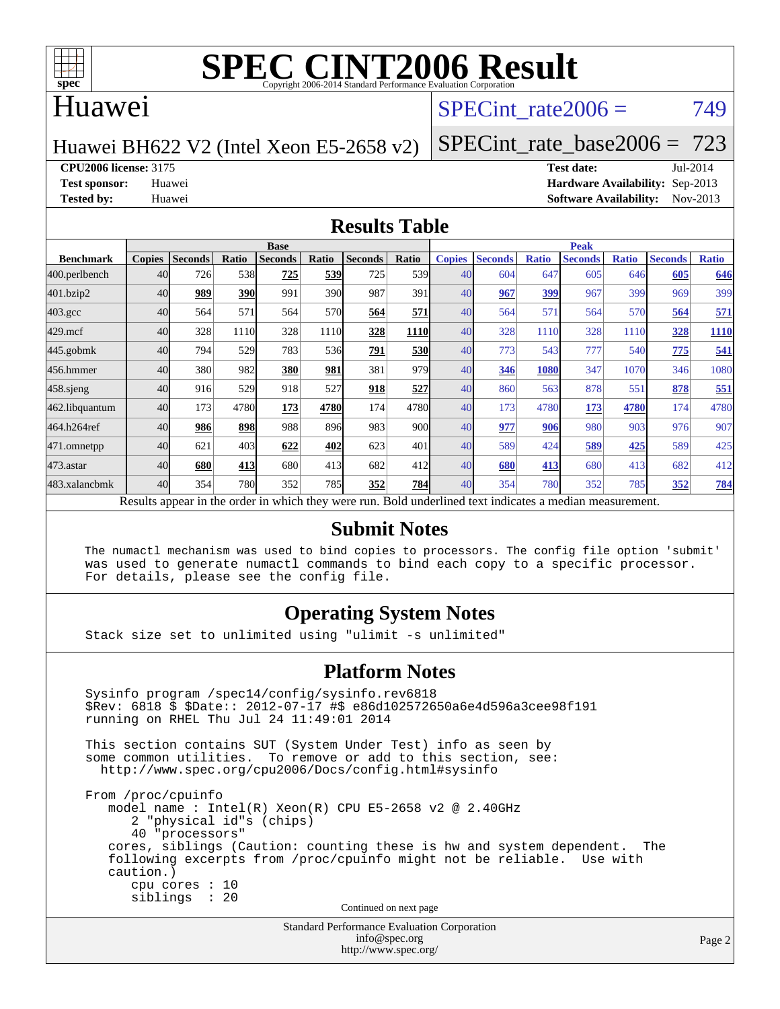

#### Huawei

#### SPECint rate $2006 = 749$

Huawei BH622 V2 (Intel Xeon E5-2658 v2)

[SPECint\\_rate\\_base2006 =](http://www.spec.org/auto/cpu2006/Docs/result-fields.html#SPECintratebase2006) 723

**[CPU2006 license:](http://www.spec.org/auto/cpu2006/Docs/result-fields.html#CPU2006license)** 3175 **[Test date:](http://www.spec.org/auto/cpu2006/Docs/result-fields.html#Testdate)** Jul-2014

**[Test sponsor:](http://www.spec.org/auto/cpu2006/Docs/result-fields.html#Testsponsor)** Huawei **[Hardware Availability:](http://www.spec.org/auto/cpu2006/Docs/result-fields.html#HardwareAvailability)** Sep-2013 **[Tested by:](http://www.spec.org/auto/cpu2006/Docs/result-fields.html#Testedby)** Huawei **[Software Availability:](http://www.spec.org/auto/cpu2006/Docs/result-fields.html#SoftwareAvailability)** Nov-2013

#### **[Results Table](http://www.spec.org/auto/cpu2006/Docs/result-fields.html#ResultsTable)**

|                                                                                                          | <b>Base</b>   |                |       |                |            |                |             | <b>Peak</b>   |                |              |                |              |                |              |  |
|----------------------------------------------------------------------------------------------------------|---------------|----------------|-------|----------------|------------|----------------|-------------|---------------|----------------|--------------|----------------|--------------|----------------|--------------|--|
| <b>Benchmark</b>                                                                                         | <b>Copies</b> | <b>Seconds</b> | Ratio | <b>Seconds</b> | Ratio      | <b>Seconds</b> | Ratio       | <b>Copies</b> | <b>Seconds</b> | <b>Ratio</b> | <b>Seconds</b> | <b>Ratio</b> | <b>Seconds</b> | <b>Ratio</b> |  |
| 400.perlbench                                                                                            | 40            | 726            | 538   | 725            | 539        | 725            | <b>539</b>  | 40            | 604            | 647          | 605            | 646          | 605            | 646          |  |
| 401.bzip2                                                                                                | 40            | 989            | 390   | 991            | <b>390</b> | 987            | 391         | 40            | 967            | 399          | 967            | 399          | 969            | 399          |  |
| $403.\mathrm{gcc}$                                                                                       | 40            | 564            | 571   | 564            | 570        | 564            | 571         | 40            | 564            | 571          | 564            | 570          | 564            | 571          |  |
| $429$ .mcf                                                                                               | 40            | 328            | 1110  | 328            | 1110       | 328            | <b>1110</b> | 40            | 328            | 1110         | 328            | 1110         | 328            | 1110         |  |
| $445$ .gobmk                                                                                             | 40            | 794            | 529   | 783            | 536        | 791            | <u>530</u>  | 40            | 773            | 543          | 777            | 540          | 775            | 541          |  |
| 456.hmmer                                                                                                | 40            | 380            | 982   | 380            | 981        | 381            | 979         | 40            | 346            | 1080         | 347            | 1070         | 346            | 1080         |  |
| 458 sjeng                                                                                                | 40            | 916            | 529   | 918            | 527        | 918            | 527         | 40            | 860            | 563          | 878            | 551          | 878            | 551          |  |
| 462.libquantum                                                                                           | 40            | 173            | 4780  | 173            | 4780       | 174            | 4780        | 40            | 173            | 4780         | 173            | 4780         | 174            | 4780         |  |
| 464.h264ref                                                                                              | 40            | 986            | 898   | 988            | 896        | 983            | 900l        | 40            | 977            | 906          | 980            | 903          | 976            | 907          |  |
| 471.omnetpp                                                                                              | 40            | 621            | 403   | 622            | 402        | 623            | 401         | 40            | 589            | 424          | 589            | 425          | 589            | 425          |  |
| $473.$ astar                                                                                             | 40            | 680            | 413   | 680            | 413        | 682            | 412l        | 40            | 680            | 413          | 680            | 413          | 682            | 412          |  |
| 483.xalancbmk                                                                                            | 40            | 354            | 780   | 352            | 785        | 352            | 784         | 40            | 354            | 780          | 352            | 785          | 352            | <b>784</b>   |  |
| Results appear in the order in which they were run. Bold underlined text indicates a median measurement. |               |                |       |                |            |                |             |               |                |              |                |              |                |              |  |

#### **[Submit Notes](http://www.spec.org/auto/cpu2006/Docs/result-fields.html#SubmitNotes)**

 The numactl mechanism was used to bind copies to processors. The config file option 'submit' was used to generate numactl commands to bind each copy to a specific processor. For details, please see the config file.

#### **[Operating System Notes](http://www.spec.org/auto/cpu2006/Docs/result-fields.html#OperatingSystemNotes)**

Stack size set to unlimited using "ulimit -s unlimited"

#### **[Platform Notes](http://www.spec.org/auto/cpu2006/Docs/result-fields.html#PlatformNotes)**

Standard Performance Evaluation Corporation Sysinfo program /spec14/config/sysinfo.rev6818 \$Rev: 6818 \$ \$Date:: 2012-07-17 #\$ e86d102572650a6e4d596a3cee98f191 running on RHEL Thu Jul 24 11:49:01 2014 This section contains SUT (System Under Test) info as seen by some common utilities. To remove or add to this section, see: <http://www.spec.org/cpu2006/Docs/config.html#sysinfo> From /proc/cpuinfo model name : Intel(R) Xeon(R) CPU E5-2658 v2 @ 2.40GHz 2 "physical id"s (chips) 40 "processors" cores, siblings (Caution: counting these is hw and system dependent. The following excerpts from /proc/cpuinfo might not be reliable. Use with caution.) cpu cores : 10 siblings : 20 Continued on next page

[info@spec.org](mailto:info@spec.org) <http://www.spec.org/>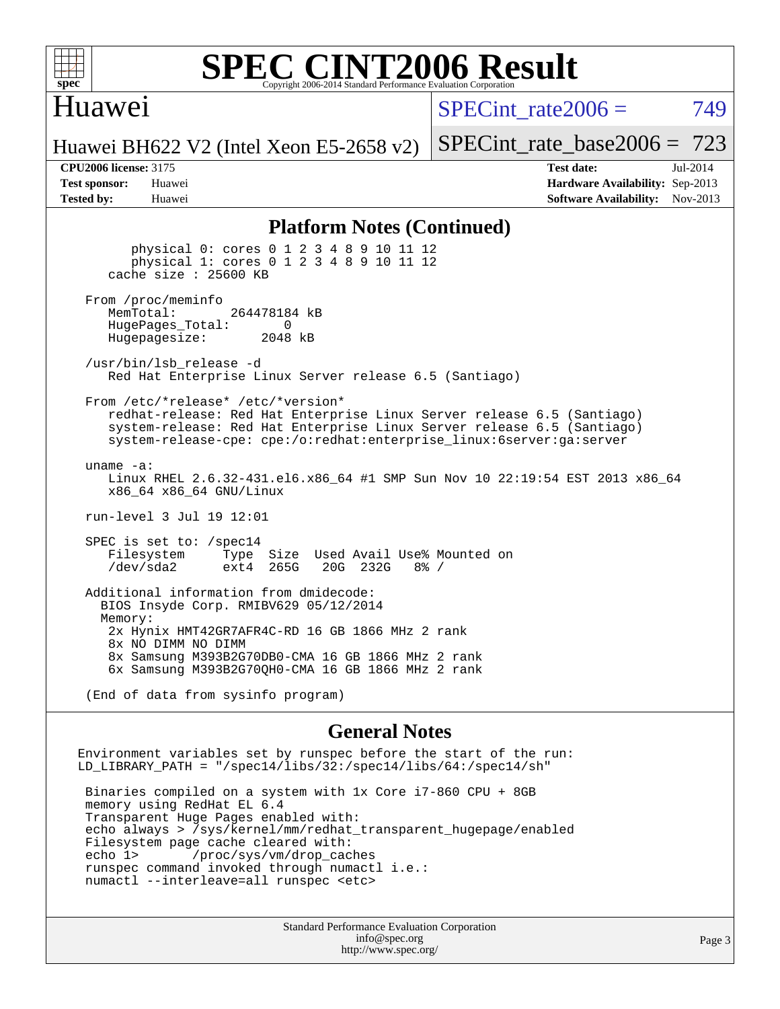

#### **[SPEC CINT2006 Result](http://www.spec.org/auto/cpu2006/Docs/result-fields.html#SPECCINT2006Result)** Copyright 2006-2014 Standard Performance Evaluation C

### Huawei

SPECint rate $2006 = 749$ 

[SPECint\\_rate\\_base2006 =](http://www.spec.org/auto/cpu2006/Docs/result-fields.html#SPECintratebase2006) 723

Huawei BH622 V2 (Intel Xeon E5-2658 v2)

**[Tested by:](http://www.spec.org/auto/cpu2006/Docs/result-fields.html#Testedby)** Huawei **[Software Availability:](http://www.spec.org/auto/cpu2006/Docs/result-fields.html#SoftwareAvailability)** Nov-2013

**[CPU2006 license:](http://www.spec.org/auto/cpu2006/Docs/result-fields.html#CPU2006license)** 3175 **[Test date:](http://www.spec.org/auto/cpu2006/Docs/result-fields.html#Testdate)** Jul-2014 **[Test sponsor:](http://www.spec.org/auto/cpu2006/Docs/result-fields.html#Testsponsor)** Huawei **[Hardware Availability:](http://www.spec.org/auto/cpu2006/Docs/result-fields.html#HardwareAvailability)** Sep-2013

#### **[Platform Notes \(Continued\)](http://www.spec.org/auto/cpu2006/Docs/result-fields.html#PlatformNotes)**

 physical 0: cores 0 1 2 3 4 8 9 10 11 12 physical 1: cores 0 1 2 3 4 8 9 10 11 12 cache size : 25600 KB From /proc/meminfo<br>MemTotal: 264478184 kB HugePages\_Total: 0<br>Hugepagesize: 2048 kB Hugepagesize: /usr/bin/lsb\_release -d Red Hat Enterprise Linux Server release 6.5 (Santiago) From /etc/\*release\* /etc/\*version\* redhat-release: Red Hat Enterprise Linux Server release 6.5 (Santiago) system-release: Red Hat Enterprise Linux Server release 6.5 (Santiago) system-release-cpe: cpe:/o:redhat:enterprise\_linux:6server:ga:server uname -a: Linux RHEL 2.6.32-431.el6.x86\_64 #1 SMP Sun Nov 10 22:19:54 EST 2013 x86\_64 x86\_64 x86\_64 GNU/Linux run-level 3 Jul 19 12:01 SPEC is set to: /spec14 Filesystem Type Size Used Avail Use% Mounted on<br>
/dev/sda2 ext4 265G 20G 232G 8% / /dev/sda2 ext4 265G 20G 232G 8% / Additional information from dmidecode: BIOS Insyde Corp. RMIBV629 05/12/2014 Memory: 2x Hynix HMT42GR7AFR4C-RD 16 GB 1866 MHz 2 rank 8x NO DIMM NO DIMM 8x Samsung M393B2G70DB0-CMA 16 GB 1866 MHz 2 rank 6x Samsung M393B2G70QH0-CMA 16 GB 1866 MHz 2 rank

(End of data from sysinfo program)

#### **[General Notes](http://www.spec.org/auto/cpu2006/Docs/result-fields.html#GeneralNotes)**

Environment variables set by runspec before the start of the run: LD LIBRARY PATH = "/spec14/libs/32:/spec14/libs/64:/spec14/sh" Binaries compiled on a system with 1x Core i7-860 CPU + 8GB memory using RedHat EL 6.4 Transparent Huge Pages enabled with: echo always > /sys/kernel/mm/redhat\_transparent\_hugepage/enabled Filesystem page cache cleared with: echo 1> /proc/sys/vm/drop\_caches runspec command invoked through numactl i.e.: numactl --interleave=all runspec <etc>

> Standard Performance Evaluation Corporation [info@spec.org](mailto:info@spec.org) <http://www.spec.org/>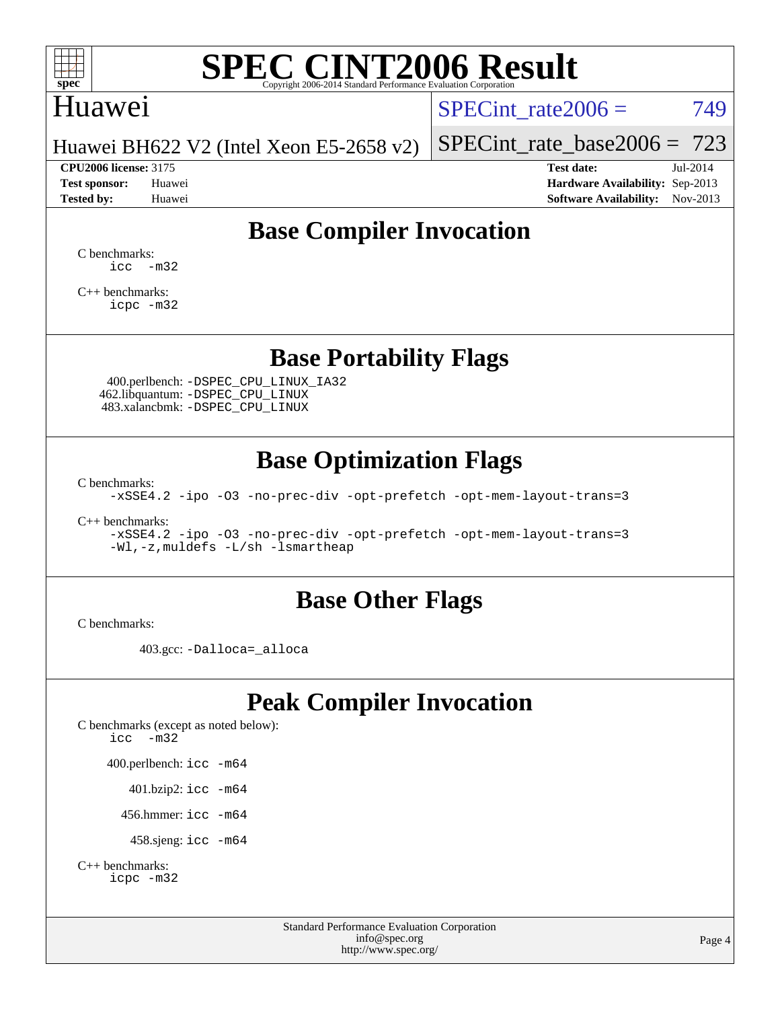

### Huawei

SPECint rate $2006 = 749$ 

Huawei BH622 V2 (Intel Xeon E5-2658 v2)

[SPECint\\_rate\\_base2006 =](http://www.spec.org/auto/cpu2006/Docs/result-fields.html#SPECintratebase2006) 723 **[CPU2006 license:](http://www.spec.org/auto/cpu2006/Docs/result-fields.html#CPU2006license)** 3175 **[Test date:](http://www.spec.org/auto/cpu2006/Docs/result-fields.html#Testdate)** Jul-2014

**[Test sponsor:](http://www.spec.org/auto/cpu2006/Docs/result-fields.html#Testsponsor)** Huawei **[Hardware Availability:](http://www.spec.org/auto/cpu2006/Docs/result-fields.html#HardwareAvailability)** Sep-2013 **[Tested by:](http://www.spec.org/auto/cpu2006/Docs/result-fields.html#Testedby)** Huawei **[Software Availability:](http://www.spec.org/auto/cpu2006/Docs/result-fields.html#SoftwareAvailability)** Nov-2013

## **[Base Compiler Invocation](http://www.spec.org/auto/cpu2006/Docs/result-fields.html#BaseCompilerInvocation)**

[C benchmarks](http://www.spec.org/auto/cpu2006/Docs/result-fields.html#Cbenchmarks):  $\text{icc}$   $-\text{m32}$ 

[C++ benchmarks:](http://www.spec.org/auto/cpu2006/Docs/result-fields.html#CXXbenchmarks) [icpc -m32](http://www.spec.org/cpu2006/results/res2014q3/cpu2006-20140804-30733.flags.html#user_CXXbase_intel_icpc_4e5a5ef1a53fd332b3c49e69c3330699)

**[Base Portability Flags](http://www.spec.org/auto/cpu2006/Docs/result-fields.html#BasePortabilityFlags)**

 400.perlbench: [-DSPEC\\_CPU\\_LINUX\\_IA32](http://www.spec.org/cpu2006/results/res2014q3/cpu2006-20140804-30733.flags.html#b400.perlbench_baseCPORTABILITY_DSPEC_CPU_LINUX_IA32) 462.libquantum: [-DSPEC\\_CPU\\_LINUX](http://www.spec.org/cpu2006/results/res2014q3/cpu2006-20140804-30733.flags.html#b462.libquantum_baseCPORTABILITY_DSPEC_CPU_LINUX) 483.xalancbmk: [-DSPEC\\_CPU\\_LINUX](http://www.spec.org/cpu2006/results/res2014q3/cpu2006-20140804-30733.flags.html#b483.xalancbmk_baseCXXPORTABILITY_DSPEC_CPU_LINUX)

### **[Base Optimization Flags](http://www.spec.org/auto/cpu2006/Docs/result-fields.html#BaseOptimizationFlags)**

[C benchmarks](http://www.spec.org/auto/cpu2006/Docs/result-fields.html#Cbenchmarks):

[-xSSE4.2](http://www.spec.org/cpu2006/results/res2014q3/cpu2006-20140804-30733.flags.html#user_CCbase_f-xSSE42_f91528193cf0b216347adb8b939d4107) [-ipo](http://www.spec.org/cpu2006/results/res2014q3/cpu2006-20140804-30733.flags.html#user_CCbase_f-ipo) [-O3](http://www.spec.org/cpu2006/results/res2014q3/cpu2006-20140804-30733.flags.html#user_CCbase_f-O3) [-no-prec-div](http://www.spec.org/cpu2006/results/res2014q3/cpu2006-20140804-30733.flags.html#user_CCbase_f-no-prec-div) [-opt-prefetch](http://www.spec.org/cpu2006/results/res2014q3/cpu2006-20140804-30733.flags.html#user_CCbase_f-opt-prefetch) [-opt-mem-layout-trans=3](http://www.spec.org/cpu2006/results/res2014q3/cpu2006-20140804-30733.flags.html#user_CCbase_f-opt-mem-layout-trans_a7b82ad4bd7abf52556d4961a2ae94d5)

[C++ benchmarks:](http://www.spec.org/auto/cpu2006/Docs/result-fields.html#CXXbenchmarks)

[-xSSE4.2](http://www.spec.org/cpu2006/results/res2014q3/cpu2006-20140804-30733.flags.html#user_CXXbase_f-xSSE42_f91528193cf0b216347adb8b939d4107) [-ipo](http://www.spec.org/cpu2006/results/res2014q3/cpu2006-20140804-30733.flags.html#user_CXXbase_f-ipo) [-O3](http://www.spec.org/cpu2006/results/res2014q3/cpu2006-20140804-30733.flags.html#user_CXXbase_f-O3) [-no-prec-div](http://www.spec.org/cpu2006/results/res2014q3/cpu2006-20140804-30733.flags.html#user_CXXbase_f-no-prec-div) [-opt-prefetch](http://www.spec.org/cpu2006/results/res2014q3/cpu2006-20140804-30733.flags.html#user_CXXbase_f-opt-prefetch) [-opt-mem-layout-trans=3](http://www.spec.org/cpu2006/results/res2014q3/cpu2006-20140804-30733.flags.html#user_CXXbase_f-opt-mem-layout-trans_a7b82ad4bd7abf52556d4961a2ae94d5) [-Wl,-z,muldefs](http://www.spec.org/cpu2006/results/res2014q3/cpu2006-20140804-30733.flags.html#user_CXXbase_link_force_multiple1_74079c344b956b9658436fd1b6dd3a8a) [-L/sh -lsmartheap](http://www.spec.org/cpu2006/results/res2014q3/cpu2006-20140804-30733.flags.html#user_CXXbase_SmartHeap_32f6c82aa1ed9c52345d30cf6e4a0499)

#### **[Base Other Flags](http://www.spec.org/auto/cpu2006/Docs/result-fields.html#BaseOtherFlags)**

[C benchmarks](http://www.spec.org/auto/cpu2006/Docs/result-fields.html#Cbenchmarks):

403.gcc: [-Dalloca=\\_alloca](http://www.spec.org/cpu2006/results/res2014q3/cpu2006-20140804-30733.flags.html#b403.gcc_baseEXTRA_CFLAGS_Dalloca_be3056838c12de2578596ca5467af7f3)

## **[Peak Compiler Invocation](http://www.spec.org/auto/cpu2006/Docs/result-fields.html#PeakCompilerInvocation)**

[C benchmarks \(except as noted below\)](http://www.spec.org/auto/cpu2006/Docs/result-fields.html#Cbenchmarksexceptasnotedbelow): [icc -m32](http://www.spec.org/cpu2006/results/res2014q3/cpu2006-20140804-30733.flags.html#user_CCpeak_intel_icc_5ff4a39e364c98233615fdd38438c6f2) 400.perlbench: [icc -m64](http://www.spec.org/cpu2006/results/res2014q3/cpu2006-20140804-30733.flags.html#user_peakCCLD400_perlbench_intel_icc_64bit_bda6cc9af1fdbb0edc3795bac97ada53) 401.bzip2: [icc -m64](http://www.spec.org/cpu2006/results/res2014q3/cpu2006-20140804-30733.flags.html#user_peakCCLD401_bzip2_intel_icc_64bit_bda6cc9af1fdbb0edc3795bac97ada53)

456.hmmer: [icc -m64](http://www.spec.org/cpu2006/results/res2014q3/cpu2006-20140804-30733.flags.html#user_peakCCLD456_hmmer_intel_icc_64bit_bda6cc9af1fdbb0edc3795bac97ada53)

458.sjeng: [icc -m64](http://www.spec.org/cpu2006/results/res2014q3/cpu2006-20140804-30733.flags.html#user_peakCCLD458_sjeng_intel_icc_64bit_bda6cc9af1fdbb0edc3795bac97ada53)

```
C++ benchmarks: 
    icpc -m32
```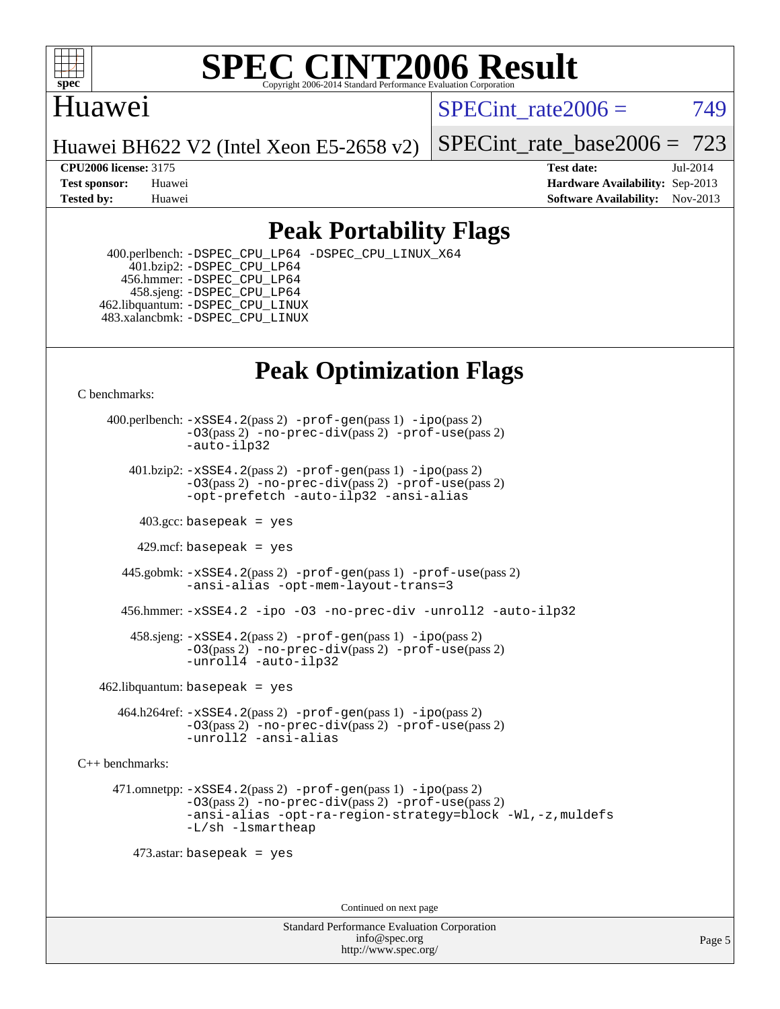

### Huawei

SPECint rate $2006 = 749$ 

Huawei BH622 V2 (Intel Xeon E5-2658 v2)

[SPECint\\_rate\\_base2006 =](http://www.spec.org/auto/cpu2006/Docs/result-fields.html#SPECintratebase2006) 723

**[CPU2006 license:](http://www.spec.org/auto/cpu2006/Docs/result-fields.html#CPU2006license)** 3175 **[Test date:](http://www.spec.org/auto/cpu2006/Docs/result-fields.html#Testdate)** Jul-2014 **[Test sponsor:](http://www.spec.org/auto/cpu2006/Docs/result-fields.html#Testsponsor)** Huawei **[Hardware Availability:](http://www.spec.org/auto/cpu2006/Docs/result-fields.html#HardwareAvailability)** Sep-2013 **[Tested by:](http://www.spec.org/auto/cpu2006/Docs/result-fields.html#Testedby)** Huawei **[Software Availability:](http://www.spec.org/auto/cpu2006/Docs/result-fields.html#SoftwareAvailability)** Nov-2013

## **[Peak Portability Flags](http://www.spec.org/auto/cpu2006/Docs/result-fields.html#PeakPortabilityFlags)**

 400.perlbench: [-DSPEC\\_CPU\\_LP64](http://www.spec.org/cpu2006/results/res2014q3/cpu2006-20140804-30733.flags.html#b400.perlbench_peakCPORTABILITY_DSPEC_CPU_LP64) [-DSPEC\\_CPU\\_LINUX\\_X64](http://www.spec.org/cpu2006/results/res2014q3/cpu2006-20140804-30733.flags.html#b400.perlbench_peakCPORTABILITY_DSPEC_CPU_LINUX_X64) 401.bzip2: [-DSPEC\\_CPU\\_LP64](http://www.spec.org/cpu2006/results/res2014q3/cpu2006-20140804-30733.flags.html#suite_peakCPORTABILITY401_bzip2_DSPEC_CPU_LP64) 456.hmmer: [-DSPEC\\_CPU\\_LP64](http://www.spec.org/cpu2006/results/res2014q3/cpu2006-20140804-30733.flags.html#suite_peakCPORTABILITY456_hmmer_DSPEC_CPU_LP64) 458.sjeng: [-DSPEC\\_CPU\\_LP64](http://www.spec.org/cpu2006/results/res2014q3/cpu2006-20140804-30733.flags.html#suite_peakCPORTABILITY458_sjeng_DSPEC_CPU_LP64) 462.libquantum: [-DSPEC\\_CPU\\_LINUX](http://www.spec.org/cpu2006/results/res2014q3/cpu2006-20140804-30733.flags.html#b462.libquantum_peakCPORTABILITY_DSPEC_CPU_LINUX) 483.xalancbmk: [-DSPEC\\_CPU\\_LINUX](http://www.spec.org/cpu2006/results/res2014q3/cpu2006-20140804-30733.flags.html#b483.xalancbmk_peakCXXPORTABILITY_DSPEC_CPU_LINUX)

## **[Peak Optimization Flags](http://www.spec.org/auto/cpu2006/Docs/result-fields.html#PeakOptimizationFlags)**

[C benchmarks](http://www.spec.org/auto/cpu2006/Docs/result-fields.html#Cbenchmarks):

 400.perlbench: [-xSSE4.2](http://www.spec.org/cpu2006/results/res2014q3/cpu2006-20140804-30733.flags.html#user_peakPASS2_CFLAGSPASS2_LDCFLAGS400_perlbench_f-xSSE42_f91528193cf0b216347adb8b939d4107)(pass 2) [-prof-gen](http://www.spec.org/cpu2006/results/res2014q3/cpu2006-20140804-30733.flags.html#user_peakPASS1_CFLAGSPASS1_LDCFLAGS400_perlbench_prof_gen_e43856698f6ca7b7e442dfd80e94a8fc)(pass 1) [-ipo](http://www.spec.org/cpu2006/results/res2014q3/cpu2006-20140804-30733.flags.html#user_peakPASS2_CFLAGSPASS2_LDCFLAGS400_perlbench_f-ipo)(pass 2) [-O3](http://www.spec.org/cpu2006/results/res2014q3/cpu2006-20140804-30733.flags.html#user_peakPASS2_CFLAGSPASS2_LDCFLAGS400_perlbench_f-O3)(pass 2) [-no-prec-div](http://www.spec.org/cpu2006/results/res2014q3/cpu2006-20140804-30733.flags.html#user_peakPASS2_CFLAGSPASS2_LDCFLAGS400_perlbench_f-no-prec-div)(pass 2) [-prof-use](http://www.spec.org/cpu2006/results/res2014q3/cpu2006-20140804-30733.flags.html#user_peakPASS2_CFLAGSPASS2_LDCFLAGS400_perlbench_prof_use_bccf7792157ff70d64e32fe3e1250b55)(pass 2) [-auto-ilp32](http://www.spec.org/cpu2006/results/res2014q3/cpu2006-20140804-30733.flags.html#user_peakCOPTIMIZE400_perlbench_f-auto-ilp32)  $401.bzip2: -xSSE4.2(pass 2) -prof-qen(pass 1) -ipo(pass 2)$  $401.bzip2: -xSSE4.2(pass 2) -prof-qen(pass 1) -ipo(pass 2)$  $401.bzip2: -xSSE4.2(pass 2) -prof-qen(pass 1) -ipo(pass 2)$  $401.bzip2: -xSSE4.2(pass 2) -prof-qen(pass 1) -ipo(pass 2)$  $401.bzip2: -xSSE4.2(pass 2) -prof-qen(pass 1) -ipo(pass 2)$ [-O3](http://www.spec.org/cpu2006/results/res2014q3/cpu2006-20140804-30733.flags.html#user_peakPASS2_CFLAGSPASS2_LDCFLAGS401_bzip2_f-O3)(pass 2) [-no-prec-div](http://www.spec.org/cpu2006/results/res2014q3/cpu2006-20140804-30733.flags.html#user_peakPASS2_CFLAGSPASS2_LDCFLAGS401_bzip2_f-no-prec-div)(pass 2) [-prof-use](http://www.spec.org/cpu2006/results/res2014q3/cpu2006-20140804-30733.flags.html#user_peakPASS2_CFLAGSPASS2_LDCFLAGS401_bzip2_prof_use_bccf7792157ff70d64e32fe3e1250b55)(pass 2) [-opt-prefetch](http://www.spec.org/cpu2006/results/res2014q3/cpu2006-20140804-30733.flags.html#user_peakCOPTIMIZE401_bzip2_f-opt-prefetch) [-auto-ilp32](http://www.spec.org/cpu2006/results/res2014q3/cpu2006-20140804-30733.flags.html#user_peakCOPTIMIZE401_bzip2_f-auto-ilp32) [-ansi-alias](http://www.spec.org/cpu2006/results/res2014q3/cpu2006-20140804-30733.flags.html#user_peakCOPTIMIZE401_bzip2_f-ansi-alias)  $403.\text{sec: basepeak}$  = yes 429.mcf: basepeak = yes 445.gobmk: [-xSSE4.2](http://www.spec.org/cpu2006/results/res2014q3/cpu2006-20140804-30733.flags.html#user_peakPASS2_CFLAGSPASS2_LDCFLAGS445_gobmk_f-xSSE42_f91528193cf0b216347adb8b939d4107)(pass 2) [-prof-gen](http://www.spec.org/cpu2006/results/res2014q3/cpu2006-20140804-30733.flags.html#user_peakPASS1_CFLAGSPASS1_LDCFLAGS445_gobmk_prof_gen_e43856698f6ca7b7e442dfd80e94a8fc)(pass 1) [-prof-use](http://www.spec.org/cpu2006/results/res2014q3/cpu2006-20140804-30733.flags.html#user_peakPASS2_CFLAGSPASS2_LDCFLAGS445_gobmk_prof_use_bccf7792157ff70d64e32fe3e1250b55)(pass 2) [-ansi-alias](http://www.spec.org/cpu2006/results/res2014q3/cpu2006-20140804-30733.flags.html#user_peakCOPTIMIZE445_gobmk_f-ansi-alias) [-opt-mem-layout-trans=3](http://www.spec.org/cpu2006/results/res2014q3/cpu2006-20140804-30733.flags.html#user_peakCOPTIMIZE445_gobmk_f-opt-mem-layout-trans_a7b82ad4bd7abf52556d4961a2ae94d5) 456.hmmer: [-xSSE4.2](http://www.spec.org/cpu2006/results/res2014q3/cpu2006-20140804-30733.flags.html#user_peakCOPTIMIZE456_hmmer_f-xSSE42_f91528193cf0b216347adb8b939d4107) [-ipo](http://www.spec.org/cpu2006/results/res2014q3/cpu2006-20140804-30733.flags.html#user_peakCOPTIMIZE456_hmmer_f-ipo) [-O3](http://www.spec.org/cpu2006/results/res2014q3/cpu2006-20140804-30733.flags.html#user_peakCOPTIMIZE456_hmmer_f-O3) [-no-prec-div](http://www.spec.org/cpu2006/results/res2014q3/cpu2006-20140804-30733.flags.html#user_peakCOPTIMIZE456_hmmer_f-no-prec-div) [-unroll2](http://www.spec.org/cpu2006/results/res2014q3/cpu2006-20140804-30733.flags.html#user_peakCOPTIMIZE456_hmmer_f-unroll_784dae83bebfb236979b41d2422d7ec2) [-auto-ilp32](http://www.spec.org/cpu2006/results/res2014q3/cpu2006-20140804-30733.flags.html#user_peakCOPTIMIZE456_hmmer_f-auto-ilp32) 458.sjeng: [-xSSE4.2](http://www.spec.org/cpu2006/results/res2014q3/cpu2006-20140804-30733.flags.html#user_peakPASS2_CFLAGSPASS2_LDCFLAGS458_sjeng_f-xSSE42_f91528193cf0b216347adb8b939d4107)(pass 2) [-prof-gen](http://www.spec.org/cpu2006/results/res2014q3/cpu2006-20140804-30733.flags.html#user_peakPASS1_CFLAGSPASS1_LDCFLAGS458_sjeng_prof_gen_e43856698f6ca7b7e442dfd80e94a8fc)(pass 1) [-ipo](http://www.spec.org/cpu2006/results/res2014q3/cpu2006-20140804-30733.flags.html#user_peakPASS2_CFLAGSPASS2_LDCFLAGS458_sjeng_f-ipo)(pass 2) [-O3](http://www.spec.org/cpu2006/results/res2014q3/cpu2006-20140804-30733.flags.html#user_peakPASS2_CFLAGSPASS2_LDCFLAGS458_sjeng_f-O3)(pass 2) [-no-prec-div](http://www.spec.org/cpu2006/results/res2014q3/cpu2006-20140804-30733.flags.html#user_peakPASS2_CFLAGSPASS2_LDCFLAGS458_sjeng_f-no-prec-div)(pass 2) [-prof-use](http://www.spec.org/cpu2006/results/res2014q3/cpu2006-20140804-30733.flags.html#user_peakPASS2_CFLAGSPASS2_LDCFLAGS458_sjeng_prof_use_bccf7792157ff70d64e32fe3e1250b55)(pass 2) [-unroll4](http://www.spec.org/cpu2006/results/res2014q3/cpu2006-20140804-30733.flags.html#user_peakCOPTIMIZE458_sjeng_f-unroll_4e5e4ed65b7fd20bdcd365bec371b81f) [-auto-ilp32](http://www.spec.org/cpu2006/results/res2014q3/cpu2006-20140804-30733.flags.html#user_peakCOPTIMIZE458_sjeng_f-auto-ilp32)  $462$ .libquantum: basepeak = yes 464.h264ref: [-xSSE4.2](http://www.spec.org/cpu2006/results/res2014q3/cpu2006-20140804-30733.flags.html#user_peakPASS2_CFLAGSPASS2_LDCFLAGS464_h264ref_f-xSSE42_f91528193cf0b216347adb8b939d4107)(pass 2) [-prof-gen](http://www.spec.org/cpu2006/results/res2014q3/cpu2006-20140804-30733.flags.html#user_peakPASS1_CFLAGSPASS1_LDCFLAGS464_h264ref_prof_gen_e43856698f6ca7b7e442dfd80e94a8fc)(pass 1) [-ipo](http://www.spec.org/cpu2006/results/res2014q3/cpu2006-20140804-30733.flags.html#user_peakPASS2_CFLAGSPASS2_LDCFLAGS464_h264ref_f-ipo)(pass 2) [-O3](http://www.spec.org/cpu2006/results/res2014q3/cpu2006-20140804-30733.flags.html#user_peakPASS2_CFLAGSPASS2_LDCFLAGS464_h264ref_f-O3)(pass 2) [-no-prec-div](http://www.spec.org/cpu2006/results/res2014q3/cpu2006-20140804-30733.flags.html#user_peakPASS2_CFLAGSPASS2_LDCFLAGS464_h264ref_f-no-prec-div)(pass 2) [-prof-use](http://www.spec.org/cpu2006/results/res2014q3/cpu2006-20140804-30733.flags.html#user_peakPASS2_CFLAGSPASS2_LDCFLAGS464_h264ref_prof_use_bccf7792157ff70d64e32fe3e1250b55)(pass 2) [-unroll2](http://www.spec.org/cpu2006/results/res2014q3/cpu2006-20140804-30733.flags.html#user_peakCOPTIMIZE464_h264ref_f-unroll_784dae83bebfb236979b41d2422d7ec2) [-ansi-alias](http://www.spec.org/cpu2006/results/res2014q3/cpu2006-20140804-30733.flags.html#user_peakCOPTIMIZE464_h264ref_f-ansi-alias)

[C++ benchmarks:](http://www.spec.org/auto/cpu2006/Docs/result-fields.html#CXXbenchmarks)

 471.omnetpp: [-xSSE4.2](http://www.spec.org/cpu2006/results/res2014q3/cpu2006-20140804-30733.flags.html#user_peakPASS2_CXXFLAGSPASS2_LDCXXFLAGS471_omnetpp_f-xSSE42_f91528193cf0b216347adb8b939d4107)(pass 2) [-prof-gen](http://www.spec.org/cpu2006/results/res2014q3/cpu2006-20140804-30733.flags.html#user_peakPASS1_CXXFLAGSPASS1_LDCXXFLAGS471_omnetpp_prof_gen_e43856698f6ca7b7e442dfd80e94a8fc)(pass 1) [-ipo](http://www.spec.org/cpu2006/results/res2014q3/cpu2006-20140804-30733.flags.html#user_peakPASS2_CXXFLAGSPASS2_LDCXXFLAGS471_omnetpp_f-ipo)(pass 2) [-O3](http://www.spec.org/cpu2006/results/res2014q3/cpu2006-20140804-30733.flags.html#user_peakPASS2_CXXFLAGSPASS2_LDCXXFLAGS471_omnetpp_f-O3)(pass 2) [-no-prec-div](http://www.spec.org/cpu2006/results/res2014q3/cpu2006-20140804-30733.flags.html#user_peakPASS2_CXXFLAGSPASS2_LDCXXFLAGS471_omnetpp_f-no-prec-div)(pass 2) [-prof-use](http://www.spec.org/cpu2006/results/res2014q3/cpu2006-20140804-30733.flags.html#user_peakPASS2_CXXFLAGSPASS2_LDCXXFLAGS471_omnetpp_prof_use_bccf7792157ff70d64e32fe3e1250b55)(pass 2) [-ansi-alias](http://www.spec.org/cpu2006/results/res2014q3/cpu2006-20140804-30733.flags.html#user_peakCXXOPTIMIZE471_omnetpp_f-ansi-alias) [-opt-ra-region-strategy=block](http://www.spec.org/cpu2006/results/res2014q3/cpu2006-20140804-30733.flags.html#user_peakCXXOPTIMIZE471_omnetpp_f-opt-ra-region-strategy_a0a37c372d03933b2a18d4af463c1f69) [-Wl,-z,muldefs](http://www.spec.org/cpu2006/results/res2014q3/cpu2006-20140804-30733.flags.html#user_peakEXTRA_LDFLAGS471_omnetpp_link_force_multiple1_74079c344b956b9658436fd1b6dd3a8a) [-L/sh -lsmartheap](http://www.spec.org/cpu2006/results/res2014q3/cpu2006-20140804-30733.flags.html#user_peakEXTRA_LIBS471_omnetpp_SmartHeap_32f6c82aa1ed9c52345d30cf6e4a0499)

473.astar: basepeak = yes

Continued on next page

Standard Performance Evaluation Corporation [info@spec.org](mailto:info@spec.org) <http://www.spec.org/>